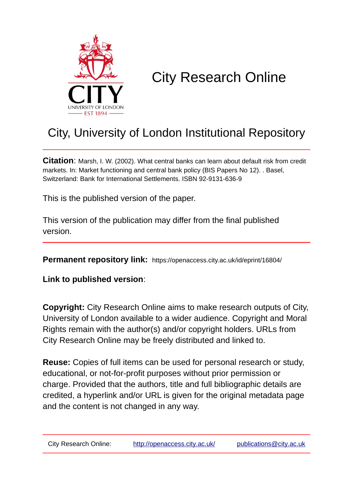

# City Research Online

## City, University of London Institutional Repository

**Citation**: Marsh, I. W. (2002). What central banks can learn about default risk from credit markets. In: Market functioning and central bank policy (BIS Papers No 12). . Basel, Switzerland: Bank for International Settlements. ISBN 92-9131-636-9

This is the published version of the paper.

This version of the publication may differ from the final published version.

**Permanent repository link:** https://openaccess.city.ac.uk/id/eprint/16804/

**Link to published version**:

**Copyright:** City Research Online aims to make research outputs of City, University of London available to a wider audience. Copyright and Moral Rights remain with the author(s) and/or copyright holders. URLs from City Research Online may be freely distributed and linked to.

**Reuse:** Copies of full items can be used for personal research or study, educational, or not-for-profit purposes without prior permission or charge. Provided that the authors, title and full bibliographic details are credited, a hyperlink and/or URL is given for the original metadata page and the content is not changed in any way.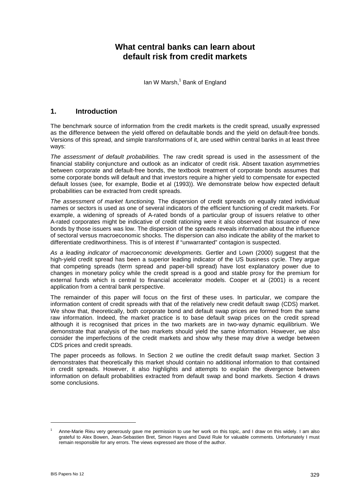## **What central banks can learn about default risk from credit markets**

lan W Marsh,<sup>1</sup> Bank of England

#### **1. Introduction**

The benchmark source of information from the credit markets is the credit spread, usually expressed as the difference between the yield offered on defaultable bonds and the yield on default-free bonds. Versions of this spread, and simple transformations of it, are used within central banks in at least three ways:

*The assessment of default probabilities.* The raw credit spread is used in the assessment of the financial stability conjuncture and outlook as an indicator of credit risk. Absent taxation asymmetries between corporate and default-free bonds, the textbook treatment of corporate bonds assumes that some corporate bonds will default and that investors require a higher yield to compensate for expected default losses (see, for example, Bodie et al (1993)). We demonstrate below how expected default probabilities can be extracted from credit spreads.

*The assessment of market functioning.* The dispersion of credit spreads on equally rated individual names or sectors is used as one of several indicators of the efficient functioning of credit markets. For example, a widening of spreads of A-rated bonds of a particular group of issuers relative to other A-rated corporates might be indicative of credit rationing were it also observed that issuance of new bonds by those issuers was low. The dispersion of the spreads reveals information about the influence of sectoral versus macroeconomic shocks. The dispersion can also indicate the ability of the market to differentiate creditworthiness. This is of interest if "unwarranted" contagion is suspected.

*As a leading indicator of macroeconomic developments.* Gertler and Lown (2000) suggest that the high-yield credit spread has been a superior leading indicator of the US business cycle. They argue that competing spreads (term spread and paper-bill spread) have lost explanatory power due to changes in monetary policy while the credit spread is a good and stable proxy for the premium for external funds which is central to financial accelerator models. Cooper et al (2001) is a recent application from a central bank perspective.

The remainder of this paper will focus on the first of these uses. In particular, we compare the information content of credit spreads with that of the relatively new credit default swap (CDS) market. We show that, theoretically, both corporate bond and default swap prices are formed from the same raw information. Indeed, the market practice is to base default swap prices on the credit spread although it is recognised that prices in the two markets are in two-way dynamic equilibrium. We demonstrate that analysis of the two markets should yield the same information. However, we also consider the imperfections of the credit markets and show why these may drive a wedge between CDS prices and credit spreads.

The paper proceeds as follows. In Section 2 we outline the credit default swap market. Section 3 demonstrates that theoretically this market should contain no additional information to that contained in credit spreads. However, it also highlights and attempts to explain the divergence between information on default probabilities extracted from default swap and bond markets. Section 4 draws some conclusions.

<sup>1</sup> Anne-Marie Rieu very generously gave me permission to use her work on this topic, and I draw on this widely. I am also grateful to Alex Bowen, Jean-Sebastien Bret, Simon Hayes and David Rule for valuable comments. Unfortunately I must remain responsible for any errors. The views expressed are those of the author.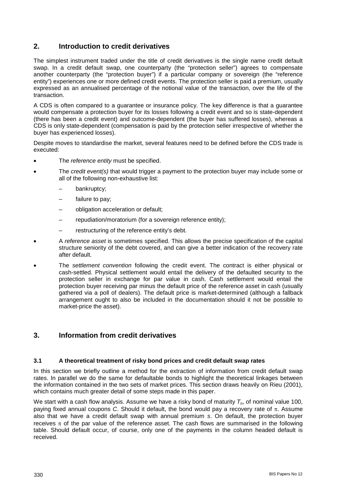### **2. Introduction to credit derivatives**

The simplest instrument traded under the title of credit derivatives is the single name credit default swap. In a credit default swap, one counterparty (the "protection seller") agrees to compensate another counterparty (the "protection buyer") if a particular company or sovereign (the "reference entity") experiences one or more defined credit events. The protection seller is paid a premium, usually expressed as an annualised percentage of the notional value of the transaction, over the life of the transaction.

A CDS is often compared to a guarantee or insurance policy. The key difference is that a guarantee would compensate a protection buyer for its losses following a credit event and so is state-dependent (there has been a credit event) and outcome-dependent (the buyer has suffered losses), whereas a CDS is only state-dependent (compensation is paid by the protection seller irrespective of whether the buyer has experienced losses).

Despite moves to standardise the market, several features need to be defined before the CDS trade is executed:

- -The *reference entity* must be specified.
- $\bullet$  The *credit event(s)* that would trigger a payment to the protection buyer may include some or all of the following non-exhaustive list:
	- bankruptcy:
	- failure to pay;
	- obligation acceleration or default;
	- repudiation/moratorium (for a sovereign reference entity);
	- restructuring of the reference entity's debt.
- - A *reference asset* is sometimes specified. This allows the precise specification of the capital structure seniority of the debt covered, and can give a better indication of the recovery rate after default.
- - The *settlement convention* following the credit event. The contract is either physical or cash-settled. Physical settlement would entail the delivery of the defaulted security to the protection seller in exchange for par value in cash. Cash settlement would entail the protection buyer receiving par minus the default price of the reference asset in cash (usually gathered via a poll of dealers). The default price is market-determined (although a fallback arrangement ought to also be included in the documentation should it not be possible to market-price the asset).

#### **3. Information from credit derivatives**

#### **3.1 A theoretical treatment of risky bond prices and credit default swap rates**

In this section we briefly outline a method for the extraction of information from credit default swap rates. In parallel we do the same for defaultable bonds to highlight the theoretical linkages between the information contained in the two sets of market prices. This section draws heavily on Rieu (2001), which contains much greater detail of some steps made in this paper.

We start with a cash flow analysis. Assume we have a risky bond of maturity  $T_n$ , of nominal value 100, paying fixed annual coupons *C*. Should it default, the bond would pay a recovery rate of  $\pi$ . Assume also that we have a credit default swap with annual premium *s*. On default, the protection buyer receives  $\pi$  of the par value of the reference asset. The cash flows are summarised in the following table. Should default occur, of course, only one of the payments in the column headed default is received.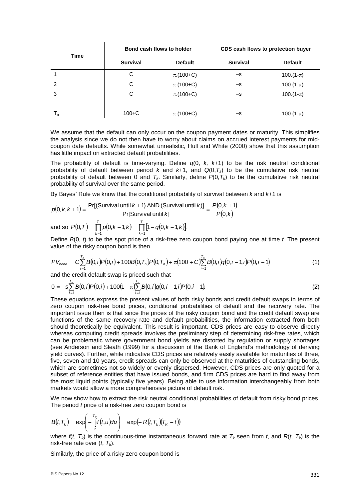| Time | Bond cash flows to holder |                | CDS cash flows to protection buyer |                |
|------|---------------------------|----------------|------------------------------------|----------------|
|      | <b>Survival</b>           | <b>Default</b> | <b>Survival</b>                    | <b>Default</b> |
|      | С                         | $\pi$ .(100+C) | -s                                 | 100. $(1-\pi)$ |
| 2    | С                         | $\pi$ .(100+C) | -s                                 | $100.(1-\pi)$  |
| 3    | C                         | $\pi$ .(100+C) | $-\mathsf{S}$                      | 100. $(1-\pi)$ |
|      | $\cdots$                  | $\cdots$       | $\cdots$                           | $\cdots$       |
| T,   | $100 + C$                 | $\pi$ .(100+C) | -s                                 | $100.(1-\pi)$  |

We assume that the default can only occur on the coupon payment dates or maturity. This simplifies the analysis since we do not then have to worry about claims on accrued interest payments for midcoupon date defaults. While somewhat unrealistic, Hull and White (2000) show that this assumption has little impact on extracted default probabilities.

The probability of default is time-varying. Define *q*(0, *k, k*+1) to be the risk neutral conditional probability of default between period *k* and *k*+1, and *Q*(0,*Tk*) to be the cumulative risk neutral probability of default between 0 and  $T_k$ . Similarly, define  $P(0,T_k)$  to be the cumulative risk neutral probability of survival over the same period.

By Bayes' Rule we know that the conditional probability of survival between *k* and *k*+1 is

$$
p(0, k, k+1) = \frac{\Pr[(\text{Survival until } k+1) \text{ AND } (\text{Survival until } k)]}{\Pr[\text{Survival until } k]} = \frac{P(0, k+1)}{P(0, k)}
$$
  
and so  $P(0, T) = \prod_{k=1}^{T} p(0, k-1, k) = \prod_{k=1}^{T} [1 - q(0, k-1, k)]$ 

Define *B*(0, *t*) to be the spot price of a risk-free zero coupon bond paying one at time *t*. The present value of the risky coupon bond is then

$$
PV_{bond} = C \sum_{i=1}^{T_n} B(0,i)P(0,i) + 100B(0,T_n)P(0,T_n) + \pi (100 + C) \sum_{i=1}^{T_n} B(0,i)q(0,i-1,i)P(0,i-1)
$$
(1)

and the credit default swap is priced such that

$$
0 = -s \sum_{i=1}^{T_n} B(0,i)P(0,i) + 100(1-\pi) \sum_{i=1}^{T_n} B(0,i)q(0,i-1,i)P(0,i-1)
$$
 (2)

These equations express the present values of both risky bonds and credit default swaps in terms of zero coupon risk-free bond prices, conditional probabilities of default and the recovery rate. The important issue then is that since the prices of the risky coupon bond and the credit default swap are functions of the same recovery rate and default probabilities, the information extracted from both should theoretically be equivalent. This result is important. CDS prices are easy to observe directly whereas computing credit spreads involves the preliminary step of determining risk-free rates, which can be problematic where government bond yields are distorted by regulation or supply shortages (see Anderson and Sleath (1999) for a discussion of the Bank of England's methodology of deriving yield curves). Further, while indicative CDS prices are relatively easily available for maturities of three, five, seven and 10 years, credit spreads can only be observed at the maturities of outstanding bonds, which are sometimes not so widely or evenly dispersed. However, CDS prices are only quoted for a subset of reference entities that have issued bonds, and firm CDS prices are hard to find away from the most liquid points (typically five years). Being able to use information interchangeably from both markets would allow a more comprehensive picture of default risk.

We now show how to extract the risk neutral conditional probabilities of default from risky bond prices. The period *t* price of a risk-free zero coupon bond is

$$
B(t,T_k) = \exp\left(-\int_t^{T_K} f(t,u)du\right) = \exp(-R(t,T_k)(T_K-t))
$$

where  $f(t, T_k)$  is the continuous-time instantaneous forward rate at  $T_k$  seen from *t*, and  $R(t, T_k)$  is the risk-free rate over  $(t, T_k)$ .

Similarly, the price of a risky zero coupon bond is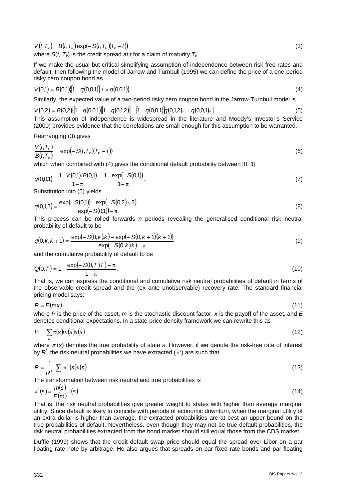$V(t, T_k) = B(t, T_k) \exp(-S(t, T_k)(T_k - t))$  (3)

where *S*(*t*,  $T_k$ ) is the credit spread at *t* for a claim of maturity  $T_k$ .

If we make the usual but critical simplifying assumption of independence between risk-free rates and default, then following the model of Jarrow and Turnbull (1995) we can define the price of a one-period risky zero coupon bond as

$$
V(0,1) = B(0,1)[1 - q(0,0,1)] + \pi.q(0,0,1).
$$
\n(4)

Similarly, the expected value of a two-period risky zero coupon bond in the Jarrow-Turnbull model is

$$
V(0,2) = B(0,2)[[1 - q(0,0,1)][1 - q(0,1,2)] + [1 - q(0,0,1)]q(0,1,2)\pi + q(0,0,1)\pi]
$$
\n(5)

This assumption of independence is widespread in the literature and Moody's Investor's Service (2000) provides evidence that the correlations are small enough for this assumption to be warranted.

Rearranging (3) gives

*V t T*

$$
\frac{V(t,T_k)}{B(t,T_k)} = \exp(-S(t,T_k)(T_k-t))
$$
\n(6)

which when combined with (4) gives the conditional default probability between [0, 1]

$$
q(0,0,1) = \frac{1 - V(0,1)/B(0,1)}{1 - \pi} = \frac{1 - \exp(-S(0,1))}{1 - \pi}.
$$
\n(7)

Substitution into (5) yields

$$
q(0,1,2) = \frac{\exp(-S(0,1)) - \exp(-S(0,2) \times 2)}{\exp(-S(0,1)) - \pi}.
$$
\n(8)

This process can be rolled forwards *n* periods revealing the generalised conditional risk neutral probability of default to be

$$
q(0, k, k+1) = \frac{\exp(-S(0, k)k) - \exp(-S(0, k+1)(k+1))}{\exp(-S(0, k)k) - \pi}
$$
\n(9)

and the cumulative probability of default to be

$$
Q(0,T) = 1 - \frac{\exp(-S(0,T)T) - \pi}{1 - \pi}.
$$
\n(10)

That is, we can express the conditional and cumulative risk neutral probabilities of default in terms of the observable credit spread and the (ex ante unobservable) recovery rate. The standard financial pricing model says:

$$
P = E(mx) \tag{11}
$$

where *P* is the price of the asset, *m* is the stochastic discount factor, *x* is the payoff of the asset, and *E* denotes conditional expectations. In a state-price density framework we can rewrite this as

$$
P = \sum_{s} \pi(s)m(s)x(s)
$$
\n(12)

where  $\pi$  (s) denotes the true probability of state *s*. However, if we denote the risk-free rate of interest by  $R$ <sup>f</sup>, the risk neutral probabilities we have extracted ( $\pi$ <sup>\*</sup>) are such that

$$
P = \frac{1}{R^t} \sum_{s} \pi^*(s) x(s)
$$
 (13)

The transformation between risk neutral and true probabilities is

$$
\pi^*(s) = \frac{m(s)}{E(m)} \pi(s). \tag{14}
$$

That is, the risk neutral probabilities give greater weight to states with higher than average marginal utility. Since default is likely to coincide with periods of economic downturn, when the marginal utility of an extra dollar is higher than average, the extracted probabilities are at best an upper bound on the true probabilities of default. Nevertheless, even though they may not be true default probabilities, the risk neutral probabilities extracted from the bond market should still equal those from the CDS market.

Duffie (1999) shows that the credit default swap price should equal the spread over Libor on a par floating rate note by arbitrage. He also argues that spreads on par fixed rate bonds and par floating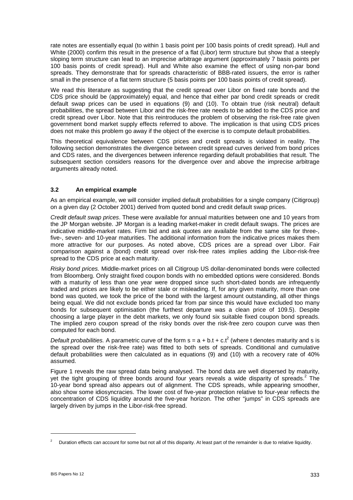rate notes are essentially equal (to within 1 basis point per 100 basis points of credit spread). Hull and White (2000) confirm this result in the presence of a flat (Libor) term structure but show that a steeply sloping term structure can lead to an imprecise arbitrage argument (approximately 7 basis points per 100 basis points of credit spread). Hull and White also examine the effect of using non-par bond spreads. They demonstrate that for spreads characteristic of BBB-rated issuers, the error is rather small in the presence of a flat term structure (5 basis points per 100 basis points of credit spread).

We read this literature as suggesting that the credit spread over Libor on fixed rate bonds and the CDS price should be (approximately) equal, and hence that either par bond credit spreads or credit default swap prices can be used in equations (9) and (10). To obtain true (risk neutral) default probabilities, the spread between Libor and the risk-free rate needs to be added to the CDS price and credit spread over Libor. Note that this reintroduces the problem of observing the risk-free rate given government bond market supply effects referred to above. The implication is that using CDS prices does not make this problem go away if the object of the exercise is to compute default probabilities.

This theoretical equivalence between CDS prices and credit spreads is violated in reality. The following section demonstrates the divergence between credit spread curves derived from bond prices and CDS rates, and the divergences between inference regarding default probabilities that result. The subsequent section considers reasons for the divergence over and above the imprecise arbitrage arguments already noted.

#### **3.2 An empirical example**

As an empirical example, we will consider implied default probabilities for a single company (Citigroup) on a given day (2 October 2001) derived from quoted bond and credit default swap prices.

*Credit default swap prices*. These were available for annual maturities between one and 10 years from the JP Morgan website. JP Morgan is a leading market-maker in credit default swaps. The prices are indicative middle-market rates. Firm bid and ask quotes are available from the same site for three-, five-, seven- and 10-year maturities. The additional information from the indicative prices makes them more attractive for our purposes. As noted above, CDS prices are a spread over Libor. Fair comparison against a (bond) credit spread over risk-free rates implies adding the Libor-risk-free spread to the CDS price at each maturity.

*Risky bond prices.* Middle-market prices on all Citigroup US dollar-denominated bonds were collected from Bloomberg. Only straight fixed coupon bonds with no embedded options were considered. Bonds with a maturity of less than one year were dropped since such short-dated bonds are infrequently traded and prices are likely to be either stale or misleading. If, for any given maturity, more than one bond was quoted, we took the price of the bond with the largest amount outstanding, all other things being equal. We did not exclude bonds priced far from par since this would have excluded too many bonds for subsequent optimisation (the furthest departure was a clean price of 109.5). Despite choosing a large player in the debt markets, we only found six suitable fixed coupon bond spreads. The implied zero coupon spread of the risky bonds over the risk-free zero coupon curve was then computed for each bond.

Default probabilities. A parametric curve of the form  $s = a + b \cdot t + c \cdot t^2$  (where t denotes maturity and s is the spread over the risk-free rate) was fitted to both sets of spreads. Conditional and cumulative default probabilities were then calculated as in equations (9) and (10) with a recovery rate of 40% assumed.

Figure 1 reveals the raw spread data being analysed. The bond data are well dispersed by maturity, yet the tight grouping of three bonds around four years reveals a wide disparity of spreads.<sup>2</sup> The 10-year bond spread also appears out of alignment. The CDS spreads, while appearing smoother, also show some idiosyncracies. The lower cost of five-year protection relative to four-year reflects the concentration of CDS liquidity around the five-year horizon. The other "jumps" in CDS spreads are largely driven by jumps in the Libor-risk-free spread.

 $\overline{2}$ Duration effects can account for some but not all of this disparity. At least part of the remainder is due to relative liquidity.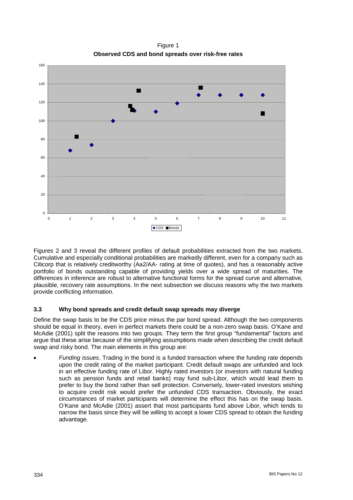Figure 1 **Observed CDS and bond spreads over risk-free rates** 



Figures 2 and 3 reveal the different profiles of default probabilities extracted from the two markets. Cumulative and especially conditional probabilities are markedly different, even for a company such as Citicorp that is relatively creditworthy (Aa2/AA- rating at time of quotes), and has a reasonably active portfolio of bonds outstanding capable of providing yields over a wide spread of maturities. The differences in inference are robust to alternative functional forms for the spread curve and alternative, plausible, recovery rate assumptions. In the next subsection we discuss reasons why the two markets provide conflicting information.

#### **3.3 Why bond spreads and credit default swap spreads may diverge**

Define the swap basis to be the CDS price minus the par bond spread. Although the two components should be equal in theory, even in perfect markets there could be a non-zero swap basis. O'Kane and McAdie (2001) split the reasons into two groups. They term the first group "fundamental" factors and argue that these arise because of the simplifying assumptions made when describing the credit default swap and risky bond. The main elements in this group are:

- *Funding issues*. Trading in the bond is a funded transaction where the funding rate depends upon the credit rating of the market participant. Credit default swaps are unfunded and lock in an effective funding rate of Libor. Highly rated investors (or investors with natural funding such as pension funds and retail banks) may fund sub-Libor, which would lead them to prefer to buy the bond rather than sell protection. Conversely, lower-rated investors wishing to acquire credit risk would prefer the unfunded CDS transaction. Obviously, the exact circumstances of market participants will determine the effect this has on the swap basis. O'Kane and McAdie (2001) assert that most participants fund above Libor, which tends to narrow the basis since they will be willing to accept a lower CDS spread to obtain the funding advantage.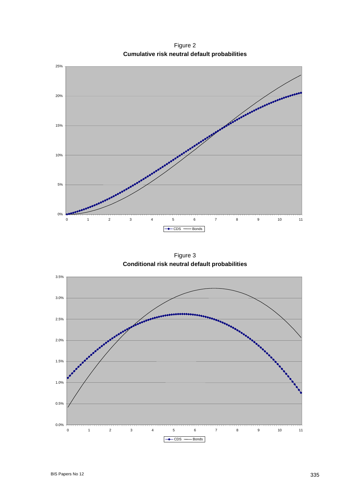Figure 2 **Cumulative risk neutral default probabilities** 



Figure 3 **Conditional risk neutral default probabilities** 

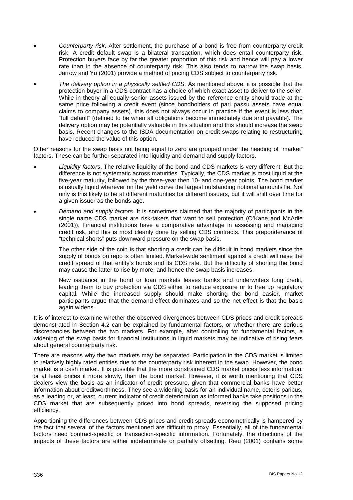- - *Counterparty risk*. After settlement, the purchase of a bond is free from counterparty credit risk. A credit default swap is a bilateral transaction, which does entail counterparty risk. Protection buyers face by far the greater proportion of this risk and hence will pay a lower rate than in the absence of counterparty risk. This also tends to narrow the swap basis. Jarrow and Yu (2001) provide a method of pricing CDS subject to counterparty risk.
- - *The delivery option in a physically settled CDS*. As mentioned above, it is possible that the protection buyer in a CDS contract has a choice of which exact asset to deliver to the seller. While in theory all equally senior assets issued by the reference entity should trade at the same price following a credit event (since bondholders of pari passu assets have equal claims to company assets), this does not always occur in practice if the event is less than "full default" (defined to be when all obligations become immediately due and payable). The delivery option may be potentially valuable in this situation and this should increase the swap basis. Recent changes to the ISDA documentation on credit swaps relating to restructuring have reduced the value of this option.

Other reasons for the swap basis not being equal to zero are grouped under the heading of "market" factors. These can be further separated into liquidity and demand and supply factors.

- - *Liquidity factors*. The relative liquidity of the bond and CDS markets is very different. But the difference is not systematic across maturities. Typically, the CDS market is most liquid at the five-year maturity, followed by the three-year then 10- and one-year points. The bond market is usually liquid wherever on the yield curve the largest outstanding notional amounts lie. Not only is this likely to be at different maturities for different issuers, but it will shift over time for a given issuer as the bonds age.
- - *Demand and supply factors*. It is sometimes claimed that the majority of participants in the single name CDS market are risk-takers that want to sell protection (O'Kane and McAdie (2001)). Financial institutions have a comparative advantage in assessing and managing credit risk, and this is most cleanly done by selling CDS contracts. This preponderance of "technical shorts" puts downward pressure on the swap basis.

The other side of the coin is that shorting a credit can be difficult in bond markets since the supply of bonds on repo is often limited. Market-wide sentiment against a credit will raise the credit spread of that entity's bonds and its CDS rate. But the difficulty of shorting the bond may cause the latter to rise by more, and hence the swap basis increases.

New issuance in the bond or loan markets leaves banks and underwriters long credit, leading them to buy protection via CDS either to reduce exposure or to free up regulatory capital. While the increased supply should make shorting the bond easier, market participants argue that the demand effect dominates and so the net effect is that the basis again widens.

It is of interest to examine whether the observed divergences between CDS prices and credit spreads demonstrated in Section 4.2 can be explained by fundamental factors, or whether there are serious discrepancies between the two markets. For example, after controlling for fundamental factors, a widening of the swap basis for financial institutions in liquid markets may be indicative of rising fears about general counterparty risk.

There are reasons why the two markets may be separated. Participation in the CDS market is limited to relatively highly rated entities due to the counterparty risk inherent in the swap. However, the bond market is a cash market. It is possible that the more constrained CDS market prices less information, or at least prices it more slowly, than the bond market. However, it is worth mentioning that CDS dealers view the basis as an indicator of credit pressure, given that commercial banks have better information about creditworthiness. They see a widening basis for an individual name, ceteris paribus, as a leading or, at least, current indicator of credit deterioration as informed banks take positions in the CDS market that are subsequently priced into bond spreads, reversing the supposed pricing efficiency.

Apportioning the differences between CDS prices and credit spreads econometrically is hampered by the fact that several of the factors mentioned are difficult to proxy. Essentially, all of the fundamental factors need contract-specific or transaction-specific information. Fortunately, the directions of the impacts of these factors are either indeterminate or partially offsetting. Rieu (2001) contains some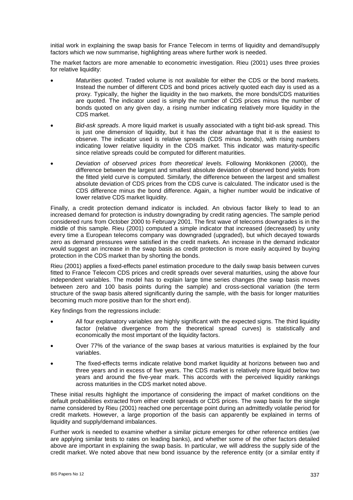initial work in explaining the swap basis for France Telecom in terms of liquidity and demand/supply factors which we now summarise, highlighting areas where further work is needed.

The market factors are more amenable to econometric investigation. Rieu (2001) uses three proxies for relative liquidity:

- - *Maturities quoted*. Traded volume is not available for either the CDS or the bond markets. Instead the number of different CDS and bond prices actively quoted each day is used as a proxy. Typically, the higher the liquidity in the two markets, the more bonds/CDS maturities are quoted. The indicator used is simply the number of CDS prices minus the number of bonds quoted on any given day, a rising number indicating relatively more liquidity in the CDS market.
- - *Bid-ask spreads*. A more liquid market is usually associated with a tight bid-ask spread. This is just one dimension of liquidity, but it has the clear advantage that it is the easiest to observe. The indicator used is relative spreads (CDS minus bonds), with rising numbers indicating lower relative liquidity in the CDS market. This indicator was maturity-specific since relative spreads could be computed for different maturities.
- - *Deviation of observed prices from theoretical levels.* Following Monkkonen (2000), the difference between the largest and smallest absolute deviation of observed bond yields from the fitted yield curve is computed. Similarly, the difference between the largest and smallest absolute deviation of CDS prices from the CDS curve is calculated. The indicator used is the CDS difference minus the bond difference. Again, a higher number would be indicative of lower relative CDS market liquidity.

Finally, a credit protection demand indicator is included. An obvious factor likely to lead to an increased demand for protection is industry downgrading by credit rating agencies. The sample period considered runs from October 2000 to February 2001. The first wave of telecoms downgrades is in the middle of this sample. Rieu (2001) computed a simple indicator that increased (decreased) by unity every time a European telecoms company was downgraded (upgraded), but which decayed towards zero as demand pressures were satisfied in the credit markets. An increase in the demand indicator would suggest an increase in the swap basis as credit protection is more easily acquired by buying protection in the CDS market than by shorting the bonds.

Rieu (2001) applies a fixed-effects panel estimation procedure to the daily swap basis between curves fitted to France Telecom CDS prices and credit spreads over several maturities, using the above four independent variables. The model has to explain large time series changes (the swap basis moves between zero and 100 basis points during the sample) and cross-sectional variation (the term structure of the swap basis altered significantly during the sample, with the basis for longer maturities becoming much more positive than for the short end).

Key findings from the regressions include:

- - All four explanatory variables are highly significant with the expected signs. The third liquidity factor (relative divergence from the theoretical spread curves) is statistically and economically the most important of the liquidity factors.
- - Over 77% of the variance of the swap bases at various maturities is explained by the four variables.
- - The fixed-effects terms indicate relative bond market liquidity at horizons between two and three years and in excess of five years. The CDS market is relatively more liquid below two years and around the five-year mark. This accords with the perceived liquidity rankings across maturities in the CDS market noted above.

These initial results highlight the importance of considering the impact of market conditions on the default probabilities extracted from either credit spreads or CDS prices. The swap basis for the single name considered by Rieu (2001) reached one percentage point during an admittedly volatile period for credit markets. However, a large proportion of the basis can apparently be explained in terms of liquidity and supply/demand imbalances.

Further work is needed to examine whether a similar picture emerges for other reference entities (we are applying similar tests to rates on leading banks), and whether some of the other factors detailed above are important in explaining the swap basis. In particular, we will address the supply side of the credit market. We noted above that new bond issuance by the reference entity (or a similar entity if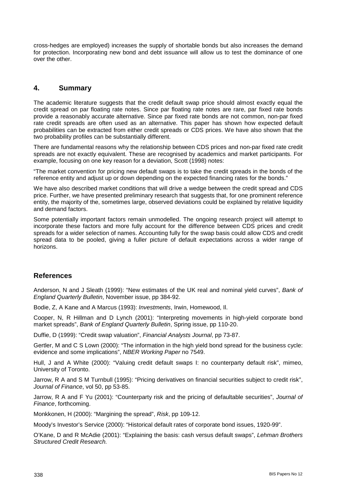cross-hedges are employed) increases the supply of shortable bonds but also increases the demand for protection. Incorporating new bond and debt issuance will allow us to test the dominance of one over the other.

#### **4. Summary**

The academic literature suggests that the credit default swap price should almost exactly equal the credit spread on par floating rate notes. Since par floating rate notes are rare, par fixed rate bonds provide a reasonably accurate alternative. Since par fixed rate bonds are not common, non-par fixed rate credit spreads are often used as an alternative. This paper has shown how expected default probabilities can be extracted from either credit spreads or CDS prices. We have also shown that the two probability profiles can be substantially different.

There are fundamental reasons why the relationship between CDS prices and non-par fixed rate credit spreads are not exactly equivalent. These are recognised by academics and market participants. For example, focusing on one key reason for a deviation, Scott (1998) notes:

"The market convention for pricing new default swaps is to take the credit spreads in the bonds of the reference entity and adjust up or down depending on the expected financing rates for the bonds."

We have also described market conditions that will drive a wedge between the credit spread and CDS price. Further, we have presented preliminary research that suggests that, for one prominent reference entity, the majority of the, sometimes large, observed deviations could be explained by relative liquidity and demand factors.

Some potentially important factors remain unmodelled. The ongoing research project will attempt to incorporate these factors and more fully account for the difference between CDS prices and credit spreads for a wider selection of names. Accounting fully for the swap basis could allow CDS and credit spread data to be pooled, giving a fuller picture of default expectations across a wider range of horizons.

#### **References**

Anderson, N and J Sleath (1999): "New estimates of the UK real and nominal yield curves", *Bank of England Quarterly Bulletin*, November issue, pp 384-92.

Bodie, Z, A Kane and A Marcus (1993): *Investments*, Irwin, Homewood, Il.

Cooper, N, R Hillman and D Lynch (2001): "Interpreting movements in high-yield corporate bond market spreads", *Bank of England Quarterly Bulletin*, Spring issue, pp 110-20.

Duffie, D (1999): "Credit swap valuation", *Financial Analysts Journal*, pp 73-87.

Gertler, M and C S Lown (2000): "The information in the high yield bond spread for the business cycle: evidence and some implications", *NBER Working Paper* no 7549.

Hull, J and A White (2000): "Valuing credit default swaps I: no counterparty default risk", mimeo, University of Toronto.

Jarrow, R A and S M Turnbull (1995): "Pricing derivatives on financial securities subject to credit risk", *Journal of Finance*, vol 50, pp 53-85.

Jarrow, R A and F Yu (2001): "Counterparty risk and the pricing of defaultable securities", *Journal of Finance*, forthcoming.

Monkkonen, H (2000): "Margining the spread", *Risk*, pp 109-12.

Moody's Investor's Service (2000): "Historical default rates of corporate bond issues, 1920-99".

O'Kane, D and R McAdie (2001): "Explaining the basis: cash versus default swaps", *Lehman Brothers Structured Credit Research.*